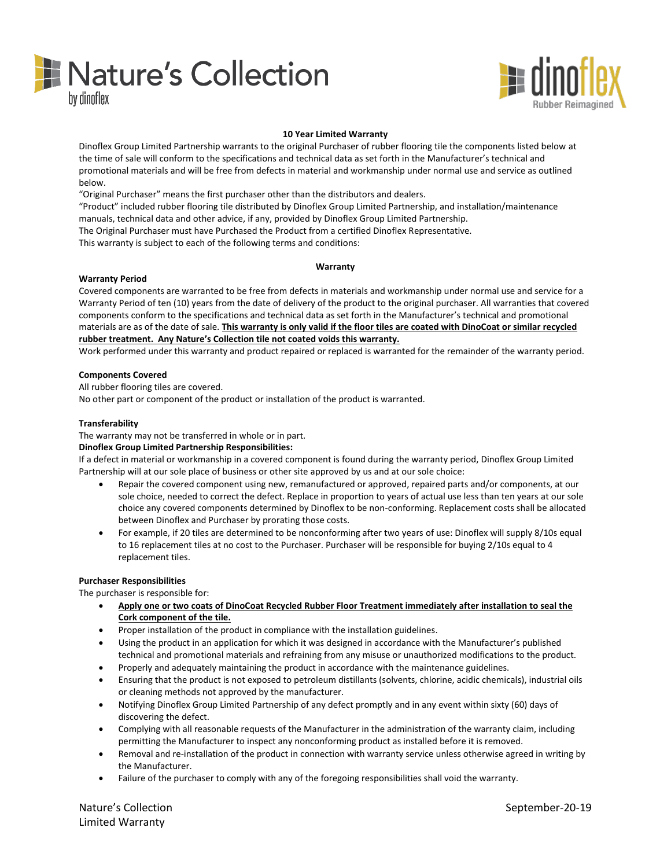



# **10 Year Limited Warranty**

Dinoflex Group Limited Partnership warrants to the original Purchaser of rubber flooring tile the components listed below at the time of sale will conform to the specifications and technical data as set forth in the Manufacturer's technical and promotional materials and will be free from defects in material and workmanship under normal use and service as outlined below.

"Original Purchaser" means the first purchaser other than the distributors and dealers.

"Product" included rubber flooring tile distributed by Dinoflex Group Limited Partnership, and installation/maintenance manuals, technical data and other advice, if any, provided by Dinoflex Group Limited Partnership.

The Original Purchaser must have Purchased the Product from a certified Dinoflex Representative.

This warranty is subject to each of the following terms and conditions:

## **Warranty**

# **Warranty Period**

Covered components are warranted to be free from defects in materials and workmanship under normal use and service for a Warranty Period of ten (10) years from the date of delivery of the product to the original purchaser. All warranties that covered components conform to the specifications and technical data as set forth in the Manufacturer's technical and promotional materials are as of the date of sale. **This warranty is only valid if the floor tiles are coated with DinoCoat or similar recycled rubber treatment. Any Nature's Collection tile not coated voids this warranty.**

Work performed under this warranty and product repaired or replaced is warranted for the remainder of the warranty period.

## **Components Covered**

All rubber flooring tiles are covered.

No other part or component of the product or installation of the product is warranted.

## **Transferability**

The warranty may not be transferred in whole or in part.

### **Dinoflex Group Limited Partnership Responsibilities:**

If a defect in material or workmanship in a covered component is found during the warranty period, Dinoflex Group Limited Partnership will at our sole place of business or other site approved by us and at our sole choice:

- Repair the covered component using new, remanufactured or approved, repaired parts and/or components, at our sole choice, needed to correct the defect. Replace in proportion to years of actual use less than ten years at our sole choice any covered components determined by Dinoflex to be non-conforming. Replacement costs shall be allocated between Dinoflex and Purchaser by prorating those costs.
- For example, if 20 tiles are determined to be nonconforming after two years of use: Dinoflex will supply 8/10s equal to 16 replacement tiles at no cost to the Purchaser. Purchaser will be responsible for buying 2/10s equal to 4 replacement tiles.

### **Purchaser Responsibilities**

The purchaser is responsible for:

- **Apply one or two coats of DinoCoat Recycled Rubber Floor Treatment immediately after installation to seal the Cork component of the tile.**
- Proper installation of the product in compliance with the installation guidelines.
- Using the product in an application for which it was designed in accordance with the Manufacturer's published technical and promotional materials and refraining from any misuse or unauthorized modifications to the product.
- Properly and adequately maintaining the product in accordance with the maintenance guidelines.
- Ensuring that the product is not exposed to petroleum distillants (solvents, chlorine, acidic chemicals), industrial oils or cleaning methods not approved by the manufacturer.
- Notifying Dinoflex Group Limited Partnership of any defect promptly and in any event within sixty (60) days of discovering the defect.
- Complying with all reasonable requests of the Manufacturer in the administration of the warranty claim, including permitting the Manufacturer to inspect any nonconforming product as installed before it is removed.
- Removal and re-installation of the product in connection with warranty service unless otherwise agreed in writing by the Manufacturer.
- Failure of the purchaser to comply with any of the foregoing responsibilities shall void the warranty.

Nature's Collection and September-20-19 and September-20-19 Limited Warranty